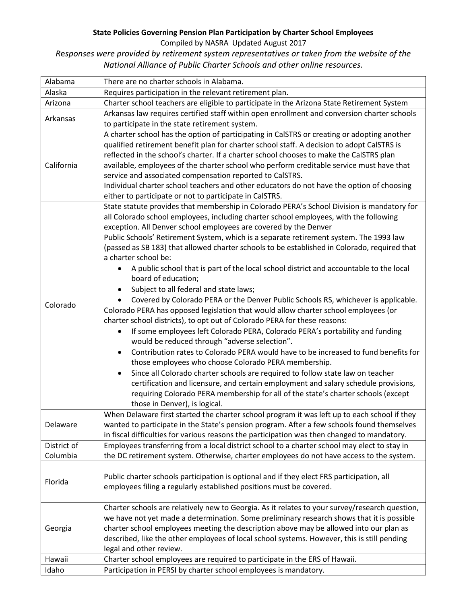## **State Policies Governing Pension Plan Participation by Charter School Employees**

Compiled by NASRA Updated August 2017

*R*e*sponses were provided by retirement system representatives or taken from the website of the National Alliance of Public Charter Schools and other online resources.*

| Alabama     | There are no charter schools in Alabama.                                                                                                                                                                                                                                                                                                                                                                                                                                                                                                                                                                                                                                                                                                                                                                                                                                                                                                                                                                                                                                                                                                                                                                                                                                                                                                                                                                                                                                                                      |
|-------------|---------------------------------------------------------------------------------------------------------------------------------------------------------------------------------------------------------------------------------------------------------------------------------------------------------------------------------------------------------------------------------------------------------------------------------------------------------------------------------------------------------------------------------------------------------------------------------------------------------------------------------------------------------------------------------------------------------------------------------------------------------------------------------------------------------------------------------------------------------------------------------------------------------------------------------------------------------------------------------------------------------------------------------------------------------------------------------------------------------------------------------------------------------------------------------------------------------------------------------------------------------------------------------------------------------------------------------------------------------------------------------------------------------------------------------------------------------------------------------------------------------------|
| Alaska      | Requires participation in the relevant retirement plan.                                                                                                                                                                                                                                                                                                                                                                                                                                                                                                                                                                                                                                                                                                                                                                                                                                                                                                                                                                                                                                                                                                                                                                                                                                                                                                                                                                                                                                                       |
| Arizona     | Charter school teachers are eligible to participate in the Arizona State Retirement System                                                                                                                                                                                                                                                                                                                                                                                                                                                                                                                                                                                                                                                                                                                                                                                                                                                                                                                                                                                                                                                                                                                                                                                                                                                                                                                                                                                                                    |
| Arkansas    | Arkansas law requires certified staff within open enrollment and conversion charter schools                                                                                                                                                                                                                                                                                                                                                                                                                                                                                                                                                                                                                                                                                                                                                                                                                                                                                                                                                                                                                                                                                                                                                                                                                                                                                                                                                                                                                   |
|             | to participate in the state retirement system.                                                                                                                                                                                                                                                                                                                                                                                                                                                                                                                                                                                                                                                                                                                                                                                                                                                                                                                                                                                                                                                                                                                                                                                                                                                                                                                                                                                                                                                                |
| California  | A charter school has the option of participating in CalSTRS or creating or adopting another<br>qualified retirement benefit plan for charter school staff. A decision to adopt CalSTRS is<br>reflected in the school's charter. If a charter school chooses to make the CalSTRS plan<br>available, employees of the charter school who perform creditable service must have that<br>service and associated compensation reported to CalSTRS.<br>Individual charter school teachers and other educators do not have the option of choosing<br>either to participate or not to participate in CalSTRS.                                                                                                                                                                                                                                                                                                                                                                                                                                                                                                                                                                                                                                                                                                                                                                                                                                                                                                          |
| Colorado    | State statute provides that membership in Colorado PERA's School Division is mandatory for<br>all Colorado school employees, including charter school employees, with the following<br>exception. All Denver school employees are covered by the Denver<br>Public Schools' Retirement System, which is a separate retirement system. The 1993 law<br>(passed as SB 183) that allowed charter schools to be established in Colorado, required that<br>a charter school be:<br>A public school that is part of the local school district and accountable to the local<br>٠<br>board of education;<br>Subject to all federal and state laws;<br>Covered by Colorado PERA or the Denver Public Schools RS, whichever is applicable.<br>Colorado PERA has opposed legislation that would allow charter school employees (or<br>charter school districts), to opt out of Colorado PERA for these reasons:<br>If some employees left Colorado PERA, Colorado PERA's portability and funding<br>$\bullet$<br>would be reduced through "adverse selection".<br>Contribution rates to Colorado PERA would have to be increased to fund benefits for<br>$\bullet$<br>those employees who choose Colorado PERA membership.<br>Since all Colorado charter schools are required to follow state law on teacher<br>certification and licensure, and certain employment and salary schedule provisions,<br>requiring Colorado PERA membership for all of the state's charter schools (except<br>those in Denver), is logical. |
| Delaware    | When Delaware first started the charter school program it was left up to each school if they<br>wanted to participate in the State's pension program. After a few schools found themselves<br>in fiscal difficulties for various reasons the participation was then changed to mandatory.                                                                                                                                                                                                                                                                                                                                                                                                                                                                                                                                                                                                                                                                                                                                                                                                                                                                                                                                                                                                                                                                                                                                                                                                                     |
| District of | Employees transferring from a local district school to a charter school may elect to stay in                                                                                                                                                                                                                                                                                                                                                                                                                                                                                                                                                                                                                                                                                                                                                                                                                                                                                                                                                                                                                                                                                                                                                                                                                                                                                                                                                                                                                  |
| Columbia    | the DC retirement system. Otherwise, charter employees do not have access to the system.                                                                                                                                                                                                                                                                                                                                                                                                                                                                                                                                                                                                                                                                                                                                                                                                                                                                                                                                                                                                                                                                                                                                                                                                                                                                                                                                                                                                                      |
| Florida     | Public charter schools participation is optional and if they elect FRS participation, all<br>employees filing a regularly established positions must be covered.                                                                                                                                                                                                                                                                                                                                                                                                                                                                                                                                                                                                                                                                                                                                                                                                                                                                                                                                                                                                                                                                                                                                                                                                                                                                                                                                              |
| Georgia     | Charter schools are relatively new to Georgia. As it relates to your survey/research question,<br>we have not yet made a determination. Some preliminary research shows that it is possible<br>charter school employees meeting the description above may be allowed into our plan as<br>described, like the other employees of local school systems. However, this is still pending<br>legal and other review.                                                                                                                                                                                                                                                                                                                                                                                                                                                                                                                                                                                                                                                                                                                                                                                                                                                                                                                                                                                                                                                                                               |
| Hawaii      | Charter school employees are required to participate in the ERS of Hawaii.                                                                                                                                                                                                                                                                                                                                                                                                                                                                                                                                                                                                                                                                                                                                                                                                                                                                                                                                                                                                                                                                                                                                                                                                                                                                                                                                                                                                                                    |
| Idaho       | Participation in PERSI by charter school employees is mandatory.                                                                                                                                                                                                                                                                                                                                                                                                                                                                                                                                                                                                                                                                                                                                                                                                                                                                                                                                                                                                                                                                                                                                                                                                                                                                                                                                                                                                                                              |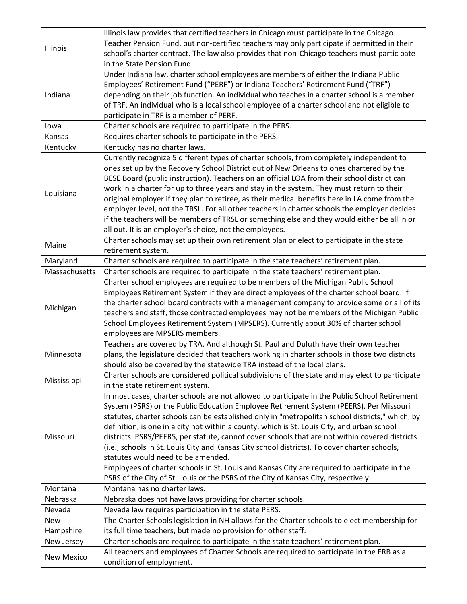| Illinois          | Illinois law provides that certified teachers in Chicago must participate in the Chicago        |
|-------------------|-------------------------------------------------------------------------------------------------|
|                   | Teacher Pension Fund, but non-certified teachers may only participate if permitted in their     |
|                   | school's charter contract. The law also provides that non-Chicago teachers must participate     |
|                   | in the State Pension Fund.                                                                      |
| Indiana           | Under Indiana law, charter school employees are members of either the Indiana Public            |
|                   | Employees' Retirement Fund ("PERF") or Indiana Teachers' Retirement Fund ("TRF")                |
|                   | depending on their job function. An individual who teaches in a charter school is a member      |
|                   | of TRF. An individual who is a local school employee of a charter school and not eligible to    |
|                   | participate in TRF is a member of PERF.                                                         |
| lowa              | Charter schools are required to participate in the PERS.                                        |
| Kansas            | Requires charter schools to participate in the PERS.                                            |
| Kentucky          | Kentucky has no charter laws.                                                                   |
|                   | Currently recognize 5 different types of charter schools, from completely independent to        |
|                   | ones set up by the Recovery School District out of New Orleans to ones chartered by the         |
|                   | BESE Board (public instruction). Teachers on an official LOA from their school district can     |
|                   | work in a charter for up to three years and stay in the system. They must return to their       |
| Louisiana         | original employer if they plan to retiree, as their medical benefits here in LA come from the   |
|                   | employer level, not the TRSL. For all other teachers in charter schools the employer decides    |
|                   | if the teachers will be members of TRSL or something else and they would either be all in or    |
|                   | all out. It is an employer's choice, not the employees.                                         |
| Maine             | Charter schools may set up their own retirement plan or elect to participate in the state       |
|                   | retirement system.                                                                              |
| Maryland          | Charter schools are required to participate in the state teachers' retirement plan.             |
| Massachusetts     | Charter schools are required to participate in the state teachers' retirement plan.             |
|                   | Charter school employees are required to be members of the Michigan Public School               |
|                   | Employees Retirement System if they are direct employees of the charter school board. If        |
| Michigan          | the charter school board contracts with a management company to provide some or all of its      |
|                   | teachers and staff, those contracted employees may not be members of the Michigan Public        |
|                   | School Employees Retirement System (MPSERS). Currently about 30% of charter school              |
|                   | employees are MPSERS members.                                                                   |
|                   | Teachers are covered by TRA. And although St. Paul and Duluth have their own teacher            |
| Minnesota         | plans, the legislature decided that teachers working in charter schools in those two districts  |
|                   | should also be covered by the statewide TRA instead of the local plans.                         |
| Mississippi       | Charter schools are considered political subdivisions of the state and may elect to participate |
|                   | in the state retirement system.                                                                 |
|                   | In most cases, charter schools are not allowed to participate in the Public School Retirement   |
|                   | System (PSRS) or the Public Education Employee Retirement System (PEERS). Per Missouri          |
|                   | statutes, charter schools can be established only in "metropolitan school districts," which, by |
|                   | definition, is one in a city not within a county, which is St. Louis City, and urban school     |
| Missouri          | districts. PSRS/PEERS, per statute, cannot cover schools that are not within covered districts  |
|                   | (i.e., schools in St. Louis City and Kansas City school districts). To cover charter schools,   |
|                   | statutes would need to be amended.                                                              |
|                   | Employees of charter schools in St. Louis and Kansas City are required to participate in the    |
|                   | PSRS of the City of St. Louis or the PSRS of the City of Kansas City, respectively.             |
| Montana           | Montana has no charter laws.                                                                    |
| Nebraska          | Nebraska does not have laws providing for charter schools.                                      |
| Nevada            | Nevada law requires participation in the state PERS.                                            |
| <b>New</b>        | The Charter Schools legislation in NH allows for the Charter schools to elect membership for    |
| Hampshire         | its full time teachers, but made no provision for other staff.                                  |
| New Jersey        | Charter schools are required to participate in the state teachers' retirement plan.             |
| <b>New Mexico</b> | All teachers and employees of Charter Schools are required to participate in the ERB as a       |
|                   | condition of employment.                                                                        |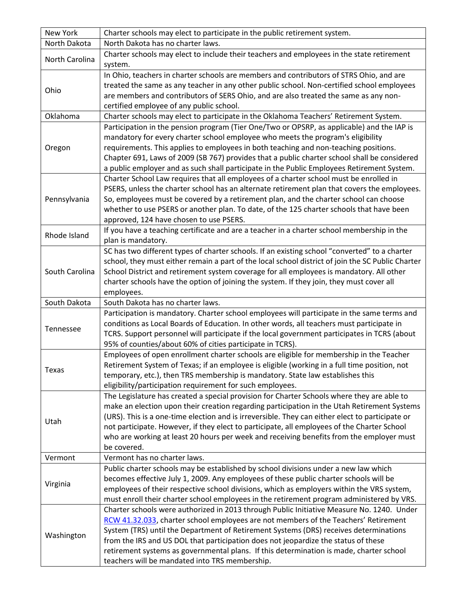| New York       | Charter schools may elect to participate in the public retirement system.                                                                                                                                                                                                                                                                                                                                                                                                                                    |
|----------------|--------------------------------------------------------------------------------------------------------------------------------------------------------------------------------------------------------------------------------------------------------------------------------------------------------------------------------------------------------------------------------------------------------------------------------------------------------------------------------------------------------------|
| North Dakota   | North Dakota has no charter laws.                                                                                                                                                                                                                                                                                                                                                                                                                                                                            |
| North Carolina | Charter schools may elect to include their teachers and employees in the state retirement<br>system.                                                                                                                                                                                                                                                                                                                                                                                                         |
| Ohio           | In Ohio, teachers in charter schools are members and contributors of STRS Ohio, and are<br>treated the same as any teacher in any other public school. Non-certified school employees<br>are members and contributors of SERS Ohio, and are also treated the same as any non-<br>certified employee of any public school.                                                                                                                                                                                    |
| Oklahoma       | Charter schools may elect to participate in the Oklahoma Teachers' Retirement System.                                                                                                                                                                                                                                                                                                                                                                                                                        |
| Oregon         | Participation in the pension program (Tier One/Two or OPSRP, as applicable) and the IAP is<br>mandatory for every charter school employee who meets the program's eligibility<br>requirements. This applies to employees in both teaching and non-teaching positions.<br>Chapter 691, Laws of 2009 (SB 767) provides that a public charter school shall be considered<br>a public employer and as such shall participate in the Public Employees Retirement System.                                          |
| Pennsylvania   | Charter School Law requires that all employees of a charter school must be enrolled in<br>PSERS, unless the charter school has an alternate retirement plan that covers the employees.<br>So, employees must be covered by a retirement plan, and the charter school can choose<br>whether to use PSERS or another plan. To date, of the 125 charter schools that have been<br>approved, 124 have chosen to use PSERS.                                                                                       |
| Rhode Island   | If you have a teaching certificate and are a teacher in a charter school membership in the<br>plan is mandatory.                                                                                                                                                                                                                                                                                                                                                                                             |
| South Carolina | SC has two different types of charter schools. If an existing school "converted" to a charter<br>school, they must either remain a part of the local school district of join the SC Public Charter<br>School District and retirement system coverage for all employees is mandatory. All other<br>charter schools have the option of joining the system. If they join, they must cover all<br>employees.                                                                                                     |
| South Dakota   | South Dakota has no charter laws.                                                                                                                                                                                                                                                                                                                                                                                                                                                                            |
| Tennessee      | Participation is mandatory. Charter school employees will participate in the same terms and<br>conditions as Local Boards of Education. In other words, all teachers must participate in<br>TCRS. Support personnel will participate if the local government participates in TCRS (about<br>95% of counties/about 60% of cities participate in TCRS).                                                                                                                                                        |
| Texas          | Employees of open enrollment charter schools are eligible for membership in the Teacher<br>Retirement System of Texas; if an employee is eligible (working in a full time position, not<br>temporary, etc.), then TRS membership is mandatory. State law establishes this<br>eligibility/participation requirement for such employees.                                                                                                                                                                       |
| Utah           | The Legislature has created a special provision for Charter Schools where they are able to<br>make an election upon their creation regarding participation in the Utah Retirement Systems<br>(URS). This is a one-time election and is irreversible. They can either elect to participate or<br>not participate. However, if they elect to participate, all employees of the Charter School<br>who are working at least 20 hours per week and receiving benefits from the employer must<br>be covered.       |
| Vermont        | Vermont has no charter laws.                                                                                                                                                                                                                                                                                                                                                                                                                                                                                 |
| Virginia       | Public charter schools may be established by school divisions under a new law which<br>becomes effective July 1, 2009. Any employees of these public charter schools will be<br>employees of their respective school divisions, which as employers within the VRS system,<br>must enroll their charter school employees in the retirement program administered by VRS.                                                                                                                                       |
| Washington     | Charter schools were authorized in 2013 through Public Initiative Measure No. 1240. Under<br>RCW 41.32.033, charter school employees are not members of the Teachers' Retirement<br>System (TRS) until the Department of Retirement Systems (DRS) receives determinations<br>from the IRS and US DOL that participation does not jeopardize the status of these<br>retirement systems as governmental plans. If this determination is made, charter school<br>teachers will be mandated into TRS membership. |